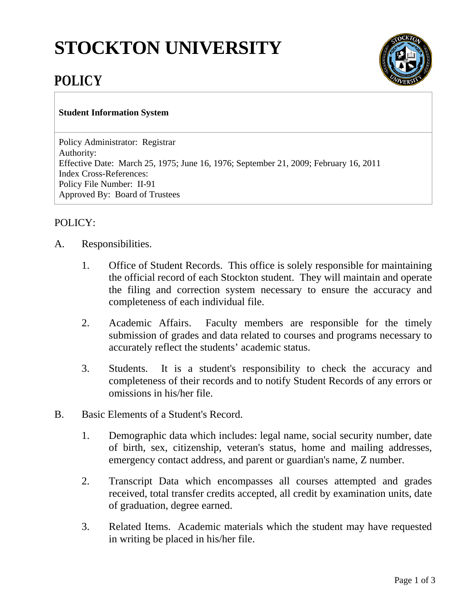## **STOCKTON UNIVERSITY**



## **POLICY**

## **Student Information System**

Policy Administrator: Registrar Authority: Effective Date: March 25, 1975; June 16, 1976; September 21, 2009; February 16, 2011 Index Cross-References: Policy File Number: II-91 Approved By: Board of Trustees

## POLICY:

- A. Responsibilities.
	- 1. Office of Student Records. This office is solely responsible for maintaining the official record of each Stockton student. They will maintain and operate the filing and correction system necessary to ensure the accuracy and completeness of each individual file.
	- 2. Academic Affairs. Faculty members are responsible for the timely submission of grades and data related to courses and programs necessary to accurately reflect the students' academic status.
	- 3. Students. It is a student's responsibility to check the accuracy and completeness of their records and to notify Student Records of any errors or omissions in his/her file.
- B. Basic Elements of a Student's Record.
	- 1. Demographic data which includes: legal name, social security number, date of birth, sex, citizenship, veteran's status, home and mailing addresses, emergency contact address, and parent or guardian's name, Z number.
	- 2. Transcript Data which encompasses all courses attempted and grades received, total transfer credits accepted, all credit by examination units, date of graduation, degree earned.
	- 3. Related Items. Academic materials which the student may have requested in writing be placed in his/her file.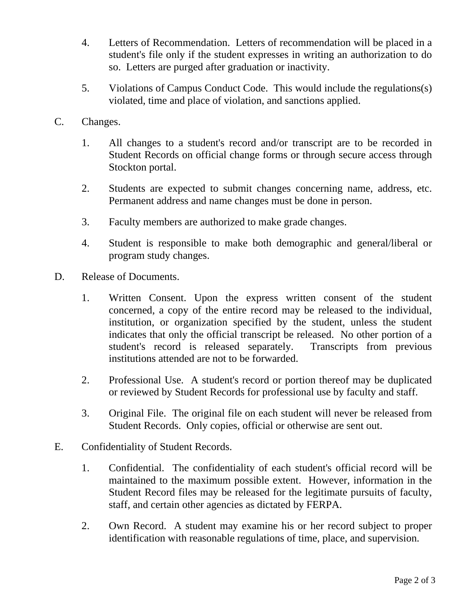- 4. Letters of Recommendation. Letters of recommendation will be placed in a student's file only if the student expresses in writing an authorization to do so. Letters are purged after graduation or inactivity.
- 5. Violations of Campus Conduct Code. This would include the regulations(s) violated, time and place of violation, and sanctions applied.
- C. Changes.
	- 1. All changes to a student's record and/or transcript are to be recorded in Student Records on official change forms or through secure access through Stockton portal.
	- 2. Students are expected to submit changes concerning name, address, etc. Permanent address and name changes must be done in person.
	- 3. Faculty members are authorized to make grade changes.
	- 4. Student is responsible to make both demographic and general/liberal or program study changes.
- D. Release of Documents.
	- 1. Written Consent. Upon the express written consent of the student concerned, a copy of the entire record may be released to the individual, institution, or organization specified by the student, unless the student indicates that only the official transcript be released. No other portion of a student's record is released separately. Transcripts from previous institutions attended are not to be forwarded.
	- 2. Professional Use. A student's record or portion thereof may be duplicated or reviewed by Student Records for professional use by faculty and staff.
	- 3. Original File. The original file on each student will never be released from Student Records. Only copies, official or otherwise are sent out.
- E. Confidentiality of Student Records.
	- 1. Confidential. The confidentiality of each student's official record will be maintained to the maximum possible extent. However, information in the Student Record files may be released for the legitimate pursuits of faculty, staff, and certain other agencies as dictated by FERPA.
	- 2. Own Record. A student may examine his or her record subject to proper identification with reasonable regulations of time, place, and supervision.